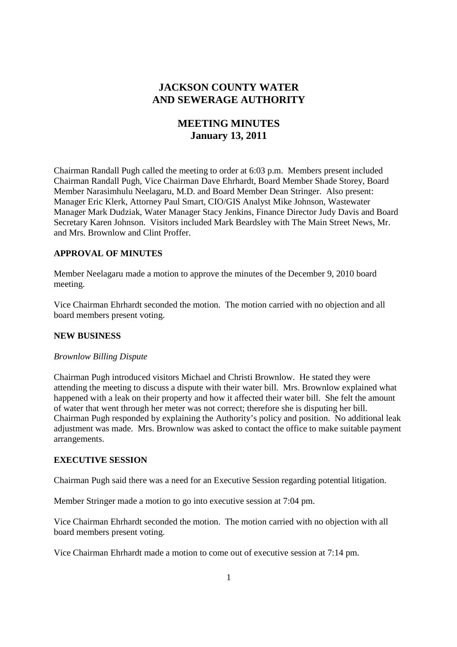## **JACKSON COUNTY WATER AND SEWERAGE AUTHORITY**

# **MEETING MINUTES January 13, 2011**

Chairman Randall Pugh called the meeting to order at 6:03 p.m. Members present included Chairman Randall Pugh, Vice Chairman Dave Ehrhardt, Board Member Shade Storey, Board Member Narasimhulu Neelagaru, M.D. and Board Member Dean Stringer. Also present: Manager Eric Klerk, Attorney Paul Smart, CIO/GIS Analyst Mike Johnson, Wastewater Manager Mark Dudziak, Water Manager Stacy Jenkins, Finance Director Judy Davis and Board Secretary Karen Johnson. Visitors included Mark Beardsley with The Main Street News, Mr. and Mrs. Brownlow and Clint Proffer.

## **APPROVAL OF MINUTES**

Member Neelagaru made a motion to approve the minutes of the December 9, 2010 board meeting.

Vice Chairman Ehrhardt seconded the motion. The motion carried with no objection and all board members present voting.

#### **NEW BUSINESS**

#### *Brownlow Billing Dispute*

Chairman Pugh introduced visitors Michael and Christi Brownlow. He stated they were attending the meeting to discuss a dispute with their water bill. Mrs. Brownlow explained what happened with a leak on their property and how it affected their water bill. She felt the amount of water that went through her meter was not correct; therefore she is disputing her bill. Chairman Pugh responded by explaining the Authority's policy and position. No additional leak adjustment was made. Mrs. Brownlow was asked to contact the office to make suitable payment arrangements.

#### **EXECUTIVE SESSION**

Chairman Pugh said there was a need for an Executive Session regarding potential litigation.

Member Stringer made a motion to go into executive session at 7:04 pm.

Vice Chairman Ehrhardt seconded the motion. The motion carried with no objection with all board members present voting.

Vice Chairman Ehrhardt made a motion to come out of executive session at 7:14 pm.